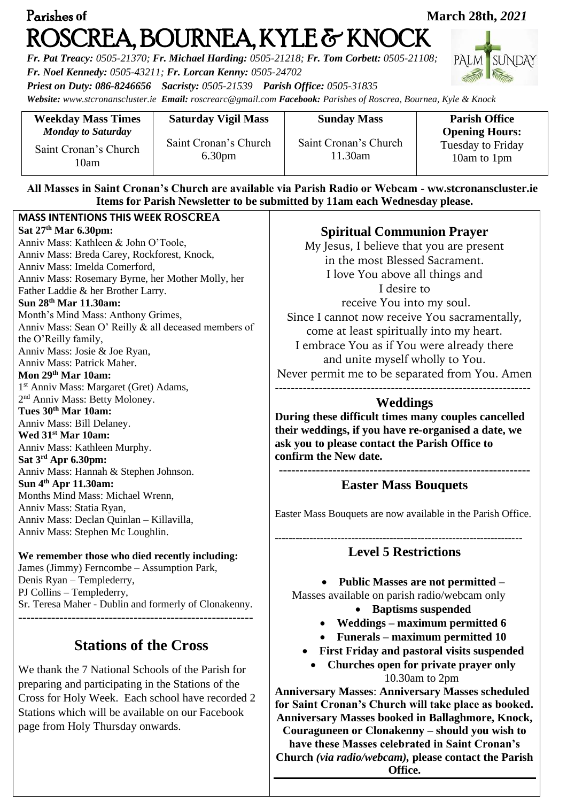| Parishes of                                                                                                                                                                                                                                                                                                                                                                                                                                                                                                                                                                                                                                                                                                                                                                                                                                                                                                                                                                                                                                                       |                                                                           |                                                                                                                                                                                                                                                                                                                                                                                                                                                                                                              | <b>March 28th, 2021</b>                                                                  |
|-------------------------------------------------------------------------------------------------------------------------------------------------------------------------------------------------------------------------------------------------------------------------------------------------------------------------------------------------------------------------------------------------------------------------------------------------------------------------------------------------------------------------------------------------------------------------------------------------------------------------------------------------------------------------------------------------------------------------------------------------------------------------------------------------------------------------------------------------------------------------------------------------------------------------------------------------------------------------------------------------------------------------------------------------------------------|---------------------------------------------------------------------------|--------------------------------------------------------------------------------------------------------------------------------------------------------------------------------------------------------------------------------------------------------------------------------------------------------------------------------------------------------------------------------------------------------------------------------------------------------------------------------------------------------------|------------------------------------------------------------------------------------------|
| Fr. Noel Kennedy: 0505-43211; Fr. Lorcan Kenny: 0505-24702<br>Priest on Duty: 086-8246656 Sacristy: 0505-21539 Parish Office: 0505-31835                                                                                                                                                                                                                                                                                                                                                                                                                                                                                                                                                                                                                                                                                                                                                                                                                                                                                                                          |                                                                           | ROSCREA, BOURNEA, KYLE & KNOCK<br>Fr. Pat Treacy: 0505-21370; Fr. Michael Harding: 0505-21218; Fr. Tom Corbett: 0505-21108;<br>Website: www.stcronanscluster.ie Email: roscrearc@gmail.com Facebook: Parishes of Roscrea, Bournea, Kyle & Knock                                                                                                                                                                                                                                                              | <b>PALM</b><br>SUNDAY                                                                    |
| <b>Weekday Mass Times</b><br><b>Monday to Saturday</b><br>Saint Cronan's Church<br>10am                                                                                                                                                                                                                                                                                                                                                                                                                                                                                                                                                                                                                                                                                                                                                                                                                                                                                                                                                                           | <b>Saturday Vigil Mass</b><br>Saint Cronan's Church<br>6.30 <sub>pm</sub> | <b>Sunday Mass</b><br>Saint Cronan's Church<br>11.30am<br>All Masses in Saint Cronan's Church are available via Parish Radio or Webcam - ww.stcronanscluster.ie                                                                                                                                                                                                                                                                                                                                              | <b>Parish Office</b><br><b>Opening Hours:</b><br><b>Tuesday to Friday</b><br>10am to 1pm |
| <b>MASS INTENTIONS THIS WEEK ROSCREA</b><br>Sat 27 <sup>th</sup> Mar 6.30pm:<br>Anniv Mass: Kathleen & John O'Toole,<br>Anniv Mass: Breda Carey, Rockforest, Knock,<br>Anniv Mass: Imelda Comerford,<br>Anniv Mass: Rosemary Byrne, her Mother Molly, her<br>Father Laddie & her Brother Larry.<br>Sun 28 <sup>th</sup> Mar 11.30am:<br>Month's Mind Mass: Anthony Grimes,<br>Anniv Mass: Sean O' Reilly & all deceased members of<br>the O'Reilly family,<br>Anniv Mass: Josie & Joe Ryan,<br>Anniv Mass: Patrick Maher.<br>Mon 29 <sup>th</sup> Mar 10am:<br>1 <sup>st</sup> Anniv Mass: Margaret (Gret) Adams,<br>2 <sup>nd</sup> Anniv Mass: Betty Moloney.<br>Tues 30 <sup>th</sup> Mar 10am:<br>Anniv Mass: Bill Delaney.<br>Wed 31 <sup>st</sup> Mar 10am:<br>Anniv Mass: Kathleen Murphy.<br>Sat $3^{\text{rd}}$ Apr 6.30pm:<br>Anniv Mass: Hannah & Stephen Johnson.<br>Sun 4 <sup>th</sup> Apr 11.30am:<br>Months Mind Mass: Michael Wrenn,<br>Anniv Mass: Statia Ryan,<br>Anniv Mass: Declan Quinlan - Killavilla,<br>Anniv Mass: Stephen Mc Loughlin. |                                                                           | Items for Parish Newsletter to be submitted by 11am each Wednesday please.<br><b>Spiritual Communion Prayer</b><br>My Jesus, I believe that you are present<br>in the most Blessed Sacrament.<br>I love You above all things and<br>I desire to<br>receive You into my soul.<br>Since I cannot now receive You sacramentally,<br>come at least spiritually into my heart.<br>I embrace You as if You were already there<br>and unite myself wholly to You.<br>Never permit me to be separated from You. Amen |                                                                                          |
|                                                                                                                                                                                                                                                                                                                                                                                                                                                                                                                                                                                                                                                                                                                                                                                                                                                                                                                                                                                                                                                                   |                                                                           | <b>Weddings</b><br>During these difficult times many couples cancelled<br>their weddings, if you have re-organised a date, we<br>ask you to please contact the Parish Office to<br>confirm the New date.<br><b>Easter Mass Bouquets</b>                                                                                                                                                                                                                                                                      |                                                                                          |
|                                                                                                                                                                                                                                                                                                                                                                                                                                                                                                                                                                                                                                                                                                                                                                                                                                                                                                                                                                                                                                                                   |                                                                           | Easter Mass Bouquets are now available in the Parish Office.                                                                                                                                                                                                                                                                                                                                                                                                                                                 |                                                                                          |
| We remember those who died recently including:<br>James (Jimmy) Ferncombe – Assumption Park,<br>Denis Ryan - Templederry,<br>PJ Collins - Templederry,<br>Sr. Teresa Maher - Dublin and formerly of Clonakenny.                                                                                                                                                                                                                                                                                                                                                                                                                                                                                                                                                                                                                                                                                                                                                                                                                                                   |                                                                           | <b>Level 5 Restrictions</b><br><b>Public Masses are not permitted -</b><br>$\bullet$<br>Masses available on parish radio/webcam only<br>• Baptisms suspended<br>• Weddings $-$ maximum permitted 6                                                                                                                                                                                                                                                                                                           |                                                                                          |
| <b>Stations of the Cross</b><br>We thank the 7 National Schools of the Parish for<br>preparing and participating in the Stations of the<br>Cross for Holy Week. Each school have recorded 2<br>Stations which will be available on our Facebook<br>page from Holy Thursday onwards.                                                                                                                                                                                                                                                                                                                                                                                                                                                                                                                                                                                                                                                                                                                                                                               |                                                                           | <b>Funerals – maximum permitted 10</b><br><b>First Friday and pastoral visits suspended</b><br>Churches open for private prayer only<br>10.30am to 2pm<br><b>Anniversary Masses: Anniversary Masses scheduled</b><br>for Saint Cronan's Church will take place as booked.<br><b>Anniversary Masses booked in Ballaghmore, Knock,</b><br>Couraguneen or Clonakenny – should you wish to<br>have these Masses celebrated in Saint Cronan's<br>Church (via radio/webcam), please contact the Parish             |                                                                                          |

**Office.**